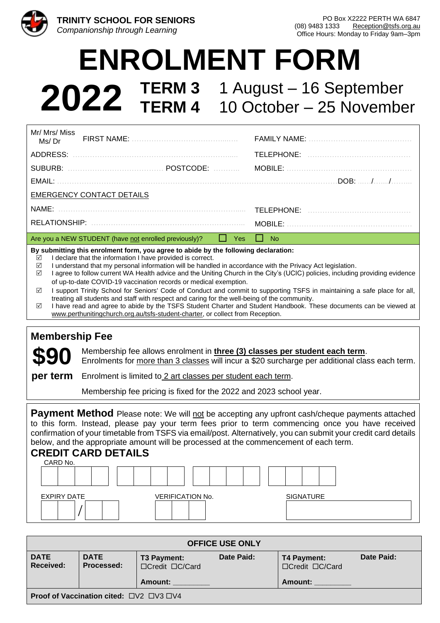

# **ENROLMENT FORM**

**2022 TERM 3 TERM 4** 1 August – 16 September 10 October – 25 November

| Mr/ Mrs/ Miss<br>Ms/Dr                                                              |                                                       |           |               |           |  |          |  |
|-------------------------------------------------------------------------------------|-------------------------------------------------------|-----------|---------------|-----------|--|----------|--|
| ADDRESS:                                                                            |                                                       |           |               |           |  |          |  |
| SUBURB:                                                                             |                                                       | POSTCODE: | <u>.</u> .    | MOBILE:   |  |          |  |
| EMAIL:                                                                              |                                                       |           |               |           |  | .DOB: // |  |
| <b>EMERGENCY CONTACT DETAILS</b>                                                    |                                                       |           |               |           |  |          |  |
|                                                                                     |                                                       |           |               |           |  |          |  |
|                                                                                     |                                                       |           |               | MOBILE:   |  |          |  |
|                                                                                     | Are you a NEW STUDENT (have not enrolled previously)? |           | Yes<br>$\Box$ | <b>No</b> |  |          |  |
| By submitting this enrolment form, you agree to abide by the following declaration: |                                                       |           |               |           |  |          |  |

- $\nabla$  I declare that the information I have provided is correct.
- $\boxtimes$  I understand that my personal information will be handled in accordance with the Privacy Act legislation.
- $\boxtimes$  I agree to follow current WA Health advice and the Uniting Church in the City's (UCIC) policies, including providing evidence of up-to-date COVID-19 vaccination records or medical exemption.
- $\boxtimes$  I support Trinity School for Seniors' Code of Conduct and commit to supporting TSFS in maintaining a safe place for all, treating all students and staff with respect and caring for the well-being of the community.
- I have read and agree to abide by the TSFS Student Charter and Student Handbook. These documents can be viewed at [www.perthunitingchurch.org.au/tsfs-student-charter,](http://www.perthunitingchurch.org.au/tsfs-student-charter) or collect from Reception.

#### **Membership Fee**

Membership fee allows enrolment in **three (3) classes per student each term**. Enrolments for more than 3 classes will incur a \$20 surcharge per additional class each term.

**\$90 per term** Enrolment is limited to 2 art classes per student each term.

Membership fee pricing is fixed for the 2022 and 2023 school year.

**Payment Method** Please note: We will not be accepting any upfront cash/cheque payments attached to this form. Instead, please pay your term fees prior to term commencing once you have received confirmation of your timetable from TSFS via email/post. Alternatively, you can submit your credit card details below, and the appropriate amount will be processed at the commencement of each term.

### **CREDIT CARD DETAILS**



| <b>OFFICE USE ONLY</b>                         |                           |                                           |            |                                                         |            |  |
|------------------------------------------------|---------------------------|-------------------------------------------|------------|---------------------------------------------------------|------------|--|
| <b>DATE</b><br>Received:                       | <b>DATE</b><br>Processed: | T3 Payment:<br>□Credit □C/Card<br>Amount: | Date Paid: | T4 Payment:<br>$\Box C$ redit $\Box C/C$ ard<br>Amount: | Date Paid: |  |
| <b>Proof of Vaccination cited:</b> □V2 □V3 □V4 |                           |                                           |            |                                                         |            |  |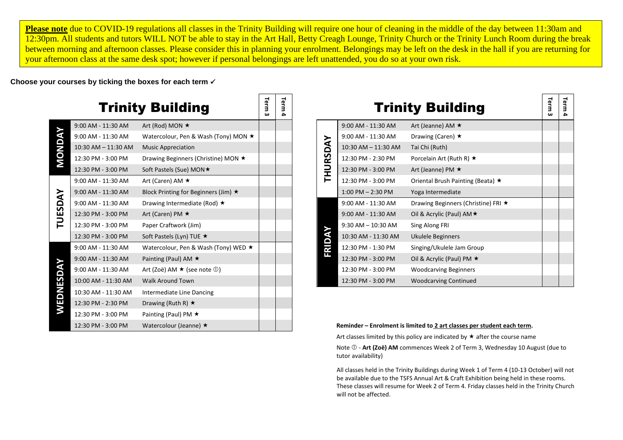**Please note** due to COVID-19 regulations all classes in the Trinity Building will require one hour of cleaning in the middle of the day between 11:30am and 12:30pm. All students and tutors WILL NOT be able to stay in the Art Hall, Betty Creagh Lounge, Trinity Church or the Trinity Lunch Room during the break between morning and afternoon classes. Please consider this in planning your enrolment. Belongings may be left on the desk in the hall if you are returning for your afternoon class at the same desk spot; however if personal belongings are left unattended, you do so at your own risk.

**Choose your courses by ticking the boxes for each term** ✓

|                |                     | <b>Trinity Building</b>                        | Term<br>ω | Term<br>4 |                                                              |          |                        | <b>Trinity Building</b>           |
|----------------|---------------------|------------------------------------------------|-----------|-----------|--------------------------------------------------------------|----------|------------------------|-----------------------------------|
|                | 9:00 AM - 11:30 AM  | Art (Rod) MON ★                                |           |           |                                                              |          | 9:00 AM - 11:30 AM     | Art (Jeanne) AM ★                 |
|                | 9:00 AM - 11:30 AM  | Watercolour, Pen & Wash (Tony) MON ★           |           |           |                                                              |          | 9:00 AM - 11:30 AM     | Drawing (Caren) $\star$           |
|                | 10:30 AM - 11:30 AM | <b>Music Appreciation</b>                      |           |           |                                                              |          | 10:30 AM - 11:30 AM    | Tai Chi (Ruth)                    |
| MONDA          | 12:30 PM - 3:00 PM  | Drawing Beginners (Christine) MON ★            |           |           |                                                              |          | 12:30 PM - 2:30 PM     | Porcelain Art (Ruth R) $\star$    |
|                | 12:30 PM - 3:00 PM  | Soft Pastels (Sue) MON★                        |           |           |                                                              | THURSDAY | 12:30 PM - 3:00 PM     | Art (Jeanne) PM $\star$           |
|                | 9:00 AM - 11:30 AM  | Art (Caren) AM $\star$                         |           |           |                                                              |          | 12:30 PM - 3:00 PM     | Oriental Brush Painting (Beata) ★ |
|                | 9:00 AM - 11:30 AM  | Block Printing for Beginners (Jim) $\star$     |           |           |                                                              |          | $1:00$ PM $- 2:30$ PM  | Yoga Intermediate                 |
| TUESDAY        | 9:00 AM - 11:30 AM  | Drawing Intermediate (Rod) $\star$             |           |           |                                                              |          | 9:00 AM - 11:30 AM     | Drawing Beginners (Christine) FRI |
|                | 12:30 PM - 3:00 PM  | Art (Caren) PM $\star$                         |           |           |                                                              |          | 9:00 AM - 11:30 AM     | Oil & Acrylic (Paul) AM ★         |
|                | 12:30 PM - 3:00 PM  | Paper Craftwork (Jim)                          |           |           |                                                              |          | $9:30$ AM $- 10:30$ AM | Sing Along FRI                    |
|                | 12:30 PM - 3:00 PM  | Soft Pastels (Lyn) TUE ★                       |           |           |                                                              | FRIDAY   | 10:30 AM - 11:30 AM    | Ukulele Beginners                 |
|                | 9:00 AM - 11:30 AM  | Watercolour, Pen & Wash (Tony) WED ★           |           |           |                                                              |          | 12:30 PM - 1:30 PM     | Singing/Ukulele Jam Group         |
|                | 9:00 AM - 11:30 AM  | Painting (Paul) AM $\star$                     |           |           |                                                              |          | 12:30 PM - 3:00 PM     | Oil & Acrylic (Paul) PM ★         |
|                | 9:00 AM - 11:30 AM  | Art (Zoë) AM $\star$ (see note $\circled{1}$ ) |           |           |                                                              |          | 12:30 PM - 3:00 PM     | <b>Woodcarving Beginners</b>      |
| <b>WEDNESD</b> | 10:00 AM - 11:30 AM | <b>Walk Around Town</b>                        |           |           |                                                              |          | 12:30 PM - 3:00 PM     | <b>Woodcarving Continued</b>      |
|                | 10:30 AM - 11:30 AM | Intermediate Line Dancing                      |           |           |                                                              |          |                        |                                   |
|                | 12:30 PM - 2:30 PM  | Drawing (Ruth R) $\star$                       |           |           |                                                              |          |                        |                                   |
|                | 12:30 PM - 3:00 PM  | Painting (Paul) PM $\star$                     |           |           |                                                              |          |                        |                                   |
|                | 12:30 PM - 3:00 PM  | Watercolour (Jeanne) ★                         |           |           | Reminder - Enrolment is limited to 2 art classes per student |          |                        |                                   |

|          |                        | <b>Trinity Building</b>                 | Term<br>ω | Term |
|----------|------------------------|-----------------------------------------|-----------|------|
|          | 9:00 AM - 11:30 AM     | Art (Jeanne) AM $\star$                 |           |      |
|          | 9:00 AM - 11:30 AM     | Drawing (Caren) $\star$                 |           |      |
|          | 10:30 AM - 11:30 AM    | Tai Chi (Ruth)                          |           |      |
|          | 12:30 PM - 2:30 PM     | Porcelain Art (Ruth R) $\star$          |           |      |
| THURSDAY | 12:30 PM - 3:00 PM     | Art (Jeanne) PM $\star$                 |           |      |
|          | 12:30 PM - 3:00 PM     | Oriental Brush Painting (Beata) $\star$ |           |      |
|          | $1:00$ PM $- 2:30$ PM  | Yoga Intermediate                       |           |      |
|          | $9:00$ AM - $11:30$ AM | Drawing Beginners (Christine) FRI ★     |           |      |
|          | 9:00 AM - 11:30 AM     | Oil & Acrylic (Paul) AM ★               |           |      |
|          | $9:30$ AM $- 10:30$ AM | Sing Along FRI                          |           |      |
| FRIDAY   | 10:30 AM - 11:30 AM    | Ukulele Beginners                       |           |      |
|          | 12:30 PM - 1:30 PM     | Singing/Ukulele Jam Group               |           |      |
|          | 12:30 PM - 3:00 PM     | Oil & Acrylic (Paul) PM $\star$         |           |      |
|          | 12:30 PM - 3:00 PM     | <b>Woodcarving Beginners</b>            |           |      |
|          | 12:30 PM - 3:00 PM     | <b>Woodcarving Continued</b>            |           |      |

#### Reminder – Enrolment is limited to 2 art classes per student each term.

Art classes limited by this policy are indicated by  $\star$  after the course name

Note  $\mathbb{O}$  - Art (Zoë) AM commences Week 2 of Term 3, Wednesday 10 August (due to tutor availability)

All classes held in the Trinity Buildings during Week 1 of Term 4 (10-13 October) will not be available due to the TSFS Annual Art & Craft Exhibition being held in these rooms. These classes will resume for Week 2 of Term 4. Friday classes held in the Trinity Church will not be affected.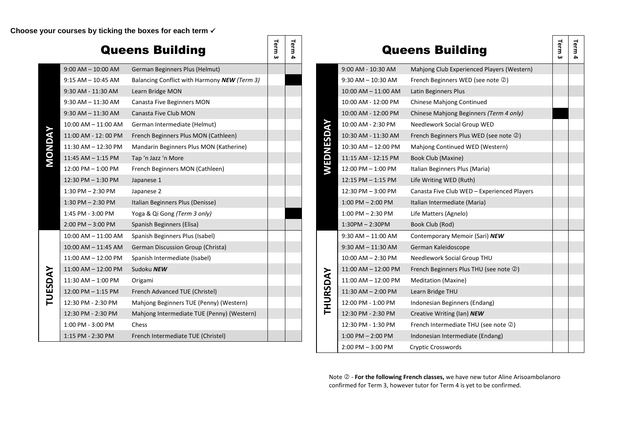**Choose your courses by ticking the boxes for each term** ✓

#### Queens Building **Term 3 Term 4 MONDAY** 9:00 AM – 10:00 AM German Beginners Plus (Helmut) 9:15 AM – 10:45 AM Balancing Conflict with Harmony **NEW** *(Term 3)* 9:30 AM - 11:30 AM Learn Bridge MON 9:30 AM - 11:30 AM Canasta Five Beginners MON 9:30 AM - 11:30 AM Canasta Five Club MON 10:00 AM – 11:00 AM German Intermediate (Helmut) 11:00 AM - 12: 00 PM French Beginners Plus MON (Cathleen) 11:30 AM – 12:30 PM Mandarin Beginners Plus MON (Katherine) 11:45 AM  $-$  1:15 PM Tap 'n Jazz 'n More 12:00 PM – 1:00 PM French Beginners MON (Cathleen) 12:30 PM – 1:30 PM Japanese 1 1:30 PM – 2:30 PM Japanese 2 12:30 PM – 3:00 PM Canasta Five Club WED – Experienced Players 1:30 PM – 2:30 PM Italian Beginners Plus (Denisse) 1:45 PM - 3:00 PM Yoga & Qi Gong *(Term 3 only)*  $2:00 \text{ PM} - 3:00 \text{ PM}$  Spanish Beginners (Elisa) **TUESDAY** 10:00 AM – 11:00 AM Spanish Beginners Plus (Isabel) 10:00 AM – 11:45 AM German Discussion Group (Christa) 11:00 AM – 12:00 PM Spanish Intermediate (Isabel) 11:00 AM – 12:00 PM Sudoku **NEW** 11:30 AM – 1:00 PM Origami 12:00 PM – 1:15 PM French Advanced TUE (Christel) 12:30 PM - 2:30 PM Mahjong Beginners TUE (Penny) (Western) 12:30 PM - 2:30 PM Mahjong Intermediate TUE (Penny) (Western) 1:00 PM - 3:00 PM Chess 12:30 PM - 1:30 PM French Intermediate THU (see note ) 1:15 PM - 2:30 PM French Intermediate TUE (Christel)

|           |                        | <b>Queens Building</b>                      | Term | Term |
|-----------|------------------------|---------------------------------------------|------|------|
|           | 9:00 AM - 10:30 AM     | Mahjong Club Experienced Players (Western)  |      |      |
|           | $9:30$ AM $-10:30$ AM  | French Beginners WED (see note 2)           |      |      |
|           | 10:00 AM - 11:00 AM    | Latin Beginners Plus                        |      |      |
|           | 10:00 AM - 12:00 PM    | <b>Chinese Mahjong Continued</b>            |      |      |
|           | 10:00 AM - 12:00 PM    | Chinese Mahjong Beginners (Term 4 only)     |      |      |
|           | 10:00 AM - 2:30 PM     | Needlework Social Group WED                 |      |      |
|           | 10:30 AM - 11:30 AM    | French Beginners Plus WED (see note 2)      |      |      |
|           | 10:30 AM - 12:00 PM    | Mahjong Continued WED (Western)             |      |      |
| WEDNESDAY | 11:15 AM - 12:15 PM    | Book Club (Maxine)                          |      |      |
|           | 12:00 PM - 1:00 PM     | Italian Beginners Plus (Maria)              |      |      |
|           | 12:15 PM - 1:15 PM     | Life Writing WED (Ruth)                     |      |      |
|           | 12:30 PM - 3:00 PM     | Canasta Five Club WED - Experienced Players |      |      |
|           | $1:00$ PM $- 2:00$ PM  | Italian Intermediate (Maria)                |      |      |
|           | $1:00$ PM $- 2:30$ PM  | Life Matters (Agnelo)                       |      |      |
|           | $1:30PM - 2:30PM$      | Book Club (Rod)                             |      |      |
|           | $9:30$ AM $-11:00$ AM  | Contemporary Memoir (Sari) NEW              |      |      |
|           | $9:30$ AM $- 11:30$ AM | German Kaleidoscope                         |      |      |
|           | 10:00 AM - 2:30 PM     | Needlework Social Group THU                 |      |      |
|           | 11:00 AM - 12:00 PM    | French Beginners Plus THU (see note 2)      |      |      |
|           | 11:00 AM - 12:00 PM    | <b>Meditation (Maxine)</b>                  |      |      |
| THURSDAY  | 11:30 AM - 2:00 PM     | Learn Bridge THU                            |      |      |
|           | 12:00 PM - 1:00 PM     | Indonesian Beginners (Endang)               |      |      |
|           | 12:30 PM - 2:30 PM     | Creative Writing (Ian) NEW                  |      |      |
|           | 12:30 PM - 1:30 PM     | French Intermediate THU (see note 2)        |      |      |
|           | $1:00$ PM $- 2:00$ PM  | Indonesian Intermediate (Endang)            |      |      |
|           | $2:00$ PM $-3:00$ PM   | <b>Cryptic Crosswords</b>                   |      |      |

Note  $\oslash$  - **For the following French classes,** we have new tutor Aline Arisoambolanoro confirmed for Term 3, however tutor for Term 4 is yet to be confirmed.